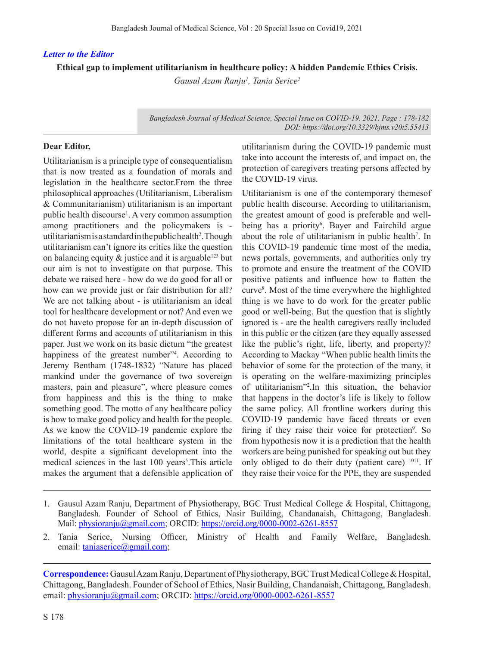## *Letter to the Editor*

**Ethical gap to implement utilitarianism in healthcare policy: A hidden Pandemic Ethics Crisis.** 

*Gausul Azam Ranju1 , Tania Serice2*

*Bangladesh Journal of Medical Science, Special Issue on COVID-19. 2021. Page : 178-182 DOI: https://doi.org/10.3329/bjms.v20i5.55413* 

### **Dear Editor,**

Utilitarianism is a principle type of consequentialism that is now treated as a foundation of morals and legislation in the healthcare sector.From the three philosophical approaches (Utilitarianism, Liberalism & Communitarianism) utilitarianism is an important public health discourse<sup>1</sup>. A very common assumption among practitioners and the policymakers is utilitarianism is a standard in the public health<sup>2</sup>. Though utilitarianism can't ignore its critics like the question on balancing equity  $&$  justice and it is arguable<sup>123</sup> but our aim is not to investigate on that purpose. This debate we raised here - how do we do good for all or how can we provide just or fair distribution for all? We are not talking about - is utilitarianism an ideal tool for healthcare development or not? And even we do not haveto propose for an in-depth discussion of different forms and accounts of utilitarianism in this paper. Just we work on its basic dictum "the greatest happiness of the greatest number"<sup>4</sup>. According to Jeremy Bentham (1748-1832) "Nature has placed mankind under the governance of two sovereign masters, pain and pleasure", where pleasure comes from happiness and this is the thing to make something good. The motto of any healthcare policy is how to make good policy and health for the people. As we know the COVID-19 pandemic explore the limitations of the total healthcare system in the world, despite a significant development into the medical sciences in the last 100 years<sup>5</sup>. This article makes the argument that a defensible application of

utilitarianism during the COVID-19 pandemic must take into account the interests of, and impact on, the protection of caregivers treating persons affected by the COVID-19 virus.

Utilitarianism is one of the contemporary themesof public health discourse. According to utilitarianism, the greatest amount of good is preferable and wellbeing has a priority<sup>6</sup>. Bayer and Fairchild argue about the role of utilitarianism in public health<sup>7</sup>. In this COVID-19 pandemic time most of the media, news portals, governments, and authorities only try to promote and ensure the treatment of the COVID positive patients and influence how to flatten the curve8 . Most of the time everywhere the highlighted thing is we have to do work for the greater public good or well-being. But the question that is slightly ignored is - are the health caregivers really included in this public or the citizen (are they equally assessed like the public's right, life, liberty, and property)? According to Mackay "When public health limits the behavior of some for the protection of the many, it is operating on the welfare-maximizing principles of utilitarianism"2 .In this situation, the behavior that happens in the doctor's life is likely to follow the same policy. All frontline workers during this COVID-19 pandemic have faced threats or even firing if they raise their voice for protection<sup>9</sup>. So from hypothesis now it is a prediction that the health workers are being punished for speaking out but they only obliged to do their duty (patient care) 1011. If they raise their voice for the PPE, they are suspended

- 1. Gausul Azam Ranju, Department of Physiotherapy, BGC Trust Medical College & Hospital, Chittagong, Bangladesh. Founder of School of Ethics, Nasir Building, Chandanaish, Chittagong, Bangladesh. Mail: physioranju@gmail.com; ORCID: https://orcid.org/0000-0002-6261-8557
- 2. Tania Serice, Nursing Officer, Ministry of Health and Family Welfare, Bangladesh. email: taniaserice@gmail.com;

**Correspondence:** Gausul Azam Ranju, Department of Physiotherapy, BGC Trust Medical College & Hospital, Chittagong, Bangladesh. Founder of School of Ethics, Nasir Building, Chandanaish, Chittagong, Bangladesh. email: physioranju@gmail.com; ORCID: https://orcid.org/0000-0002-6261-8557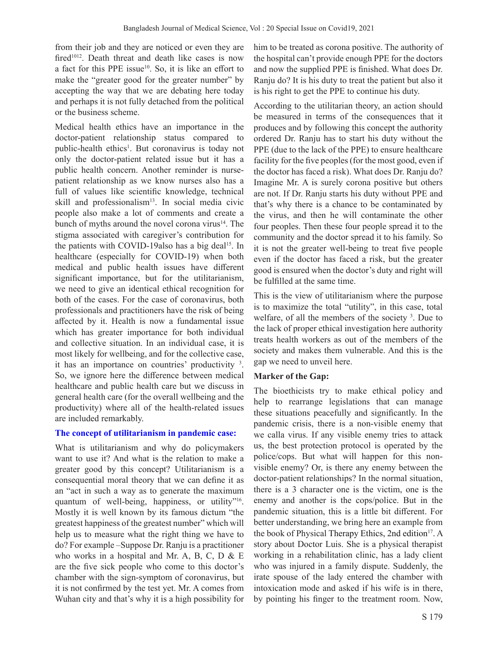from their job and they are noticed or even they are fired<sup>1012</sup>. Death threat and death like cases is now a fact for this PPE issue<sup>10</sup>. So, it is like an effort to make the "greater good for the greater number" by accepting the way that we are debating here today and perhaps it is not fully detached from the political or the business scheme.

Medical health ethics have an importance in the doctor-patient relationship status compared to public-health ethics<sup>1</sup>. But coronavirus is today not only the doctor-patient related issue but it has a public health concern. Another reminder is nursepatient relationship as we know nurses also has a full of values like scientific knowledge, technical skill and professionalism<sup>13</sup>. In social media civic people also make a lot of comments and create a bunch of myths around the novel corona virus<sup>14</sup>. The stigma associated with caregiver's contribution for the patients with COVID-19also has a big deal<sup>15</sup>. In healthcare (especially for COVID-19) when both medical and public health issues have different significant importance, but for the utilitarianism, we need to give an identical ethical recognition for both of the cases. For the case of coronavirus, both professionals and practitioners have the risk of being affected by it. Health is now a fundamental issue which has greater importance for both individual and collective situation. In an individual case, it is most likely for wellbeing, and for the collective case, it has an importance on countries' productivity 3 . So, we ignore here the difference between medical healthcare and public health care but we discuss in general health care (for the overall wellbeing and the productivity) where all of the health-related issues are included remarkably.

## **The concept of utilitarianism in pandemic case:**

What is utilitarianism and why do policymakers want to use it? And what is the relation to make a greater good by this concept? Utilitarianism is a consequential moral theory that we can define it as an "act in such a way as to generate the maximum quantum of well-being, happiness, or utility"<sup>16</sup>. Mostly it is well known by its famous dictum "the greatest happiness of the greatest number" which will help us to measure what the right thing we have to do? For example –Suppose Dr. Ranju is a practitioner who works in a hospital and Mr. A, B, C, D & E are the five sick people who come to this doctor's chamber with the sign-symptom of coronavirus, but it is not confirmed by the test yet. Mr. A comes from Wuhan city and that's why it is a high possibility for him to be treated as corona positive. The authority of the hospital can't provide enough PPE for the doctors and now the supplied PPE is finished. What does Dr. Ranju do? It is his duty to treat the patient but also it is his right to get the PPE to continue his duty.

According to the utilitarian theory, an action should be measured in terms of the consequences that it produces and by following this concept the authority ordered Dr. Ranju has to start his duty without the PPE (due to the lack of the PPE) to ensure healthcare facility for the five peoples (for the most good, even if the doctor has faced a risk). What does Dr. Ranju do? Imagine Mr. A is surely corona positive but others are not. If Dr. Ranju starts his duty without PPE and that's why there is a chance to be contaminated by the virus, and then he will contaminate the other four peoples. Then these four people spread it to the community and the doctor spread it to his family. So it is not the greater well-being to treat five people even if the doctor has faced a risk, but the greater good is ensured when the doctor's duty and right will be fulfilled at the same time.

This is the view of utilitarianism where the purpose is to maximize the total "utility", in this case, total welfare, of all the members of the society  $3$ . Due to the lack of proper ethical investigation here authority treats health workers as out of the members of the society and makes them vulnerable. And this is the gap we need to unveil here.

## **Marker of the Gap:**

The bioethicists try to make ethical policy and help to rearrange legislations that can manage these situations peacefully and significantly. In the pandemic crisis, there is a non-visible enemy that we calla virus. If any visible enemy tries to attack us, the best protection protocol is operated by the police/cops. But what will happen for this nonvisible enemy? Or, is there any enemy between the doctor-patient relationships? In the normal situation, there is a 3 character one is the victim, one is the enemy and another is the cops/police. But in the pandemic situation, this is a little bit different. For better understanding, we bring here an example from the book of Physical Therapy Ethics, 2nd edition<sup>17</sup>. A story about Doctor Luis. She is a physical therapist working in a rehabilitation clinic, has a lady client who was injured in a family dispute. Suddenly, the irate spouse of the lady entered the chamber with intoxication mode and asked if his wife is in there, by pointing his finger to the treatment room. Now,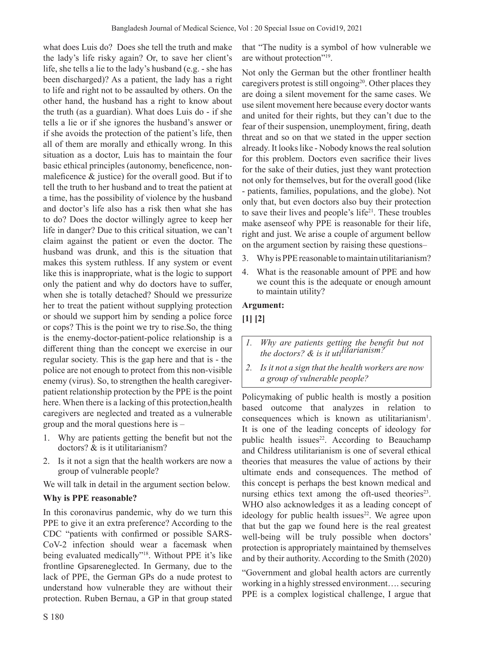what does Luis do? Does she tell the truth and make the lady's life risky again? Or, to save her client's life, she tells a lie to the lady's husband (e.g. - she has been discharged)? As a patient, the lady has a right to life and right not to be assaulted by others. On the other hand, the husband has a right to know about the truth (as a guardian). What does Luis do - if she tells a lie or if she ignores the husband's answer or if she avoids the protection of the patient's life, then all of them are morally and ethically wrong. In this situation as a doctor, Luis has to maintain the four basic ethical principles (autonomy, beneficence, nonmaleficence  $\&$  justice) for the overall good. But if to tell the truth to her husband and to treat the patient at a time, has the possibility of violence by the husband and doctor's life also has a risk then what she has to do? Does the doctor willingly agree to keep her life in danger? Due to this critical situation, we can't claim against the patient or even the doctor. The husband was drunk, and this is the situation that makes this system ruthless. If any system or event like this is inappropriate, what is the logic to support only the patient and why do doctors have to suffer, when she is totally detached? Should we pressurize her to treat the patient without supplying protection or should we support him by sending a police force or cops? This is the point we try to rise.So, the thing is the enemy-doctor-patient-police relationship is a different thing than the concept we exercise in our regular society. This is the gap here and that is - the police are not enough to protect from this non-visible enemy (virus). So, to strengthen the health caregiverpatient relationship protection by the PPE is the point here. When there is a lacking of this protection, health caregivers are neglected and treated as a vulnerable group and the moral questions here is –

- 1. Why are patients getting the benefit but not the doctors? & is it utilitarianism?
- 2. Is it not a sign that the health workers are now a group of vulnerable people?

We will talk in detail in the argument section below.

# **Why is PPE reasonable?**

In this coronavirus pandemic, why do we turn this PPE to give it an extra preference? According to the CDC "patients with confirmed or possible SARS-CoV-2 infection should wear a facemask when being evaluated medically"18. Without PPE it's like frontline Gpsareneglected. In Germany, due to the lack of PPE, the German GPs do a nude protest to understand how vulnerable they are without their protection. Ruben Bernau, a GP in that group stated that "The nudity is a symbol of how vulnerable we are without protection"19.

Not only the German but the other frontliner health caregivers protest is still ongoing<sup>20</sup>. Other places they are doing a silent movement for the same cases. We use silent movement here because every doctor wants and united for their rights, but they can't due to the fear of their suspension, unemployment, firing, death threat and so on that we stated in the upper section already. It looks like - Nobody knows the real solution for this problem. Doctors even sacrifice their lives for the sake of their duties, just they want protection not only for themselves, but for the overall good (like - patients, families, populations, and the globe). Not only that, but even doctors also buy their protection to save their lives and people's life<sup>21</sup>. These troubles make asenseof why PPE is reasonable for their life, right and just. We arise a couple of argument bellow on the argument section by raising these questions–

- 3. Why is PPE reasonable to maintain utilitarianism?
- 4. What is the reasonable amount of PPE and how we count this is the adequate or enough amount to maintain utility?

# **Argument:**

# **[1] [2]**

- *1. Why are patients getting the benefit but not the doctors? & is it utilitarianism?*
- *2. Is it not a sign that the health workers are now a group of vulnerable people?*

Policymaking of public health is mostly a position based outcome that analyzes in relation to consequences which is known as utilitarianism<sup>1</sup>. It is one of the leading concepts of ideology for public health issues $22$ . According to Beauchamp and Childress utilitarianism is one of several ethical theories that measures the value of actions by their ultimate ends and consequences. The method of this concept is perhaps the best known medical and nursing ethics text among the oft-used theories<sup>23</sup>. WHO also acknowledges it as a leading concept of ideology for public health issues $22$ . We agree upon that but the gap we found here is the real greatest well-being will be truly possible when doctors' protection is appropriately maintained by themselves and by their authority. According to the Smith (2020)

"Government and global health actors are currently working in a highly stressed environment…. securing PPE is a complex logistical challenge, I argue that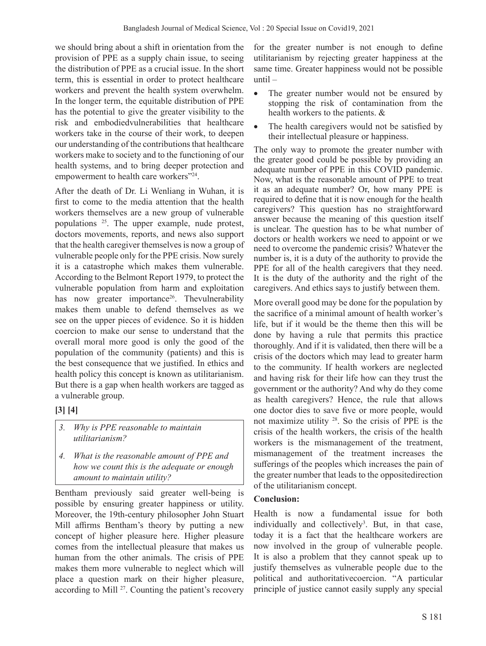we should bring about a shift in orientation from the provision of PPE as a supply chain issue, to seeing the distribution of PPE as a crucial issue. In the short term, this is essential in order to protect healthcare workers and prevent the health system overwhelm. In the longer term, the equitable distribution of PPE has the potential to give the greater visibility to the risk and embodiedvulnerabilities that healthcare workers take in the course of their work, to deepen our understanding of the contributions that healthcare workers make to society and to the functioning of our health systems, and to bring deeper protection and empowerment to health care workers"<sup>24</sup>.

After the death of Dr. Li Wenliang in Wuhan, it is first to come to the media attention that the health workers themselves are a new group of vulnerable populations 25. The upper example, nude protest, doctors movements, reports, and news also support that the health caregiver themselves is now a group of vulnerable people only for the PPE crisis. Now surely it is a catastrophe which makes them vulnerable. According to the Belmont Report 1979, to protect the vulnerable population from harm and exploitation has now greater importance<sup>26</sup>. The vulnerability makes them unable to defend themselves as we see on the upper pieces of evidence. So it is hidden coercion to make our sense to understand that the overall moral more good is only the good of the population of the community (patients) and this is the best consequence that we justified. In ethics and health policy this concept is known as utilitarianism. But there is a gap when health workers are tagged as a vulnerable group.

# **[3] [4]**

- *3. Why is PPE reasonable to maintain utilitarianism?*
- *4. What is the reasonable amount of PPE and how we count this is the adequate or enough amount to maintain utility?*

Bentham previously said greater well-being is possible by ensuring greater happiness or utility. Moreover, the 19th-century philosopher John Stuart Mill affirms Bentham's theory by putting a new concept of higher pleasure here. Higher pleasure comes from the intellectual pleasure that makes us human from the other animals. The crisis of PPE makes them more vulnerable to neglect which will place a question mark on their higher pleasure, according to Mill  $^{27}$ . Counting the patient's recovery

for the greater number is not enough to define utilitarianism by rejecting greater happiness at the same time. Greater happiness would not be possible  $until -$ 

- The greater number would not be ensured by stopping the risk of contamination from the health workers to the patients. &
- The health caregivers would not be satisfied by their intellectual pleasure or happiness.

The only way to promote the greater number with the greater good could be possible by providing an adequate number of PPE in this COVID pandemic. Now, what is the reasonable amount of PPE to treat it as an adequate number? Or, how many PPE is required to define that it is now enough for the health caregivers? This question has no straightforward answer because the meaning of this question itself is unclear. The question has to be what number of doctors or health workers we need to appoint or we need to overcome the pandemic crisis? Whatever the number is, it is a duty of the authority to provide the PPE for all of the health caregivers that they need. It is the duty of the authority and the right of the caregivers. And ethics says to justify between them.

More overall good may be done for the population by the sacrifice of a minimal amount of health worker's life, but if it would be the theme then this will be done by having a rule that permits this practice thoroughly. And if it is validated, then there will be a crisis of the doctors which may lead to greater harm to the community. If health workers are neglected and having risk for their life how can they trust the government or the authority? And why do they come as health caregivers? Hence, the rule that allows one doctor dies to save five or more people, would not maximize utility 28. So the crisis of PPE is the crisis of the health workers, the crisis of the health workers is the mismanagement of the treatment, mismanagement of the treatment increases the sufferings of the peoples which increases the pain of the greater number that leads to the oppositedirection of the utilitarianism concept.

# **Conclusion:**

Health is now a fundamental issue for both individually and collectively<sup>3</sup>. But, in that case, today it is a fact that the healthcare workers are now involved in the group of vulnerable people. It is also a problem that they cannot speak up to justify themselves as vulnerable people due to the political and authoritativecoercion. "A particular principle of justice cannot easily supply any special